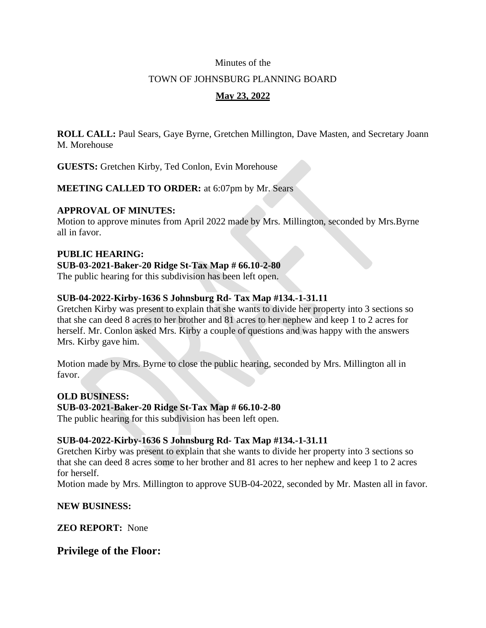### Minutes of the

### TOWN OF JOHNSBURG PLANNING BOARD

# **May 23, 2022**

**ROLL CALL:** Paul Sears, Gaye Byrne, Gretchen Millington, Dave Masten, and Secretary Joann M. Morehouse

**GUESTS:** Gretchen Kirby, Ted Conlon, Evin Morehouse

**MEETING CALLED TO ORDER:** at 6:07pm by Mr. Sears

### **APPROVAL OF MINUTES:**

Motion to approve minutes from April 2022 made by Mrs. Millington, seconded by Mrs.Byrne all in favor.

### **PUBLIC HEARING:**

### **SUB-03-2021-Baker-20 Ridge St-Tax Map # 66.10-2-80**

The public hearing for this subdivision has been left open.

## **SUB-04-2022-Kirby-1636 S Johnsburg Rd- Tax Map #134.-1-31.11**

Gretchen Kirby was present to explain that she wants to divide her property into 3 sections so that she can deed 8 acres to her brother and 81 acres to her nephew and keep 1 to 2 acres for herself. Mr. Conlon asked Mrs. Kirby a couple of questions and was happy with the answers Mrs. Kirby gave him.

Motion made by Mrs. Byrne to close the public hearing, seconded by Mrs. Millington all in favor.

### **OLD BUSINESS:**

## **SUB-03-2021-Baker-20 Ridge St-Tax Map # 66.10-2-80**

The public hearing for this subdivision has been left open.

## **SUB-04-2022-Kirby-1636 S Johnsburg Rd- Tax Map #134.-1-31.11**

Gretchen Kirby was present to explain that she wants to divide her property into 3 sections so that she can deed 8 acres some to her brother and 81 acres to her nephew and keep 1 to 2 acres for herself.

Motion made by Mrs. Millington to approve SUB-04-2022, seconded by Mr. Masten all in favor.

### **NEW BUSINESS:**

**ZEO REPORT:** None

## **Privilege of the Floor:**